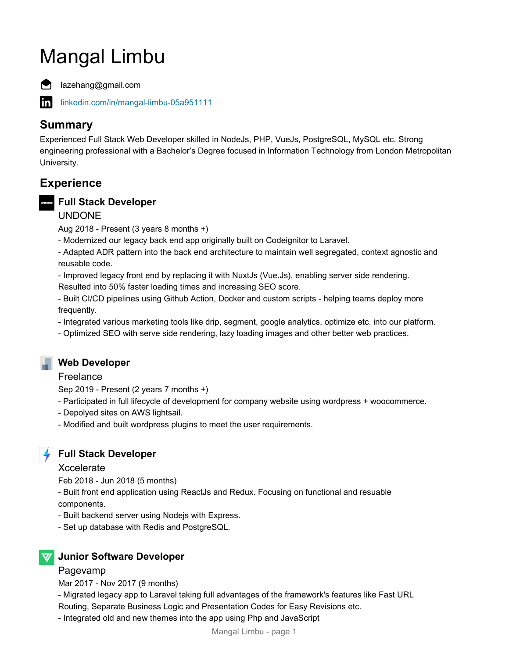# Mangal Limbu



in.

lazehang@gmail.com

[linkedin.com/in/mangal-limbu-05a951111](https://www.linkedin.com/in/mangal-limbu-05a951111)

# **Summary**

Experienced Full Stack Web Developer skilled in NodeJs, PHP, VueJs, PostgreSQL, MySQL etc. Strong engineering professional with a Bachelor's Degree focused in Information Technology from London Metropolitan University.

# **Experience**

## **Full Stack Developer**

#### UNDONE

Aug 2018 - Present (3 years 8 months +)

- Modernized our legacy back end app originally built on Codeignitor to Laravel.

- Adapted ADR pattern into the back end architecture to maintain well segregated, context agnostic and reusable code.

- Improved legacy front end by replacing it with NuxtJs (Vue.Js), enabling server side rendering.

Resulted into 50% faster loading times and increasing SEO score.

- Built CI/CD pipelines using Github Action, Docker and custom scripts - helping teams deploy more frequently.

- Integrated various marketing tools like drip, segment, google analytics, optimize etc. into our platform.

- Optimized SEO with serve side rendering, lazy loading images and other better web practices.

## **Web Developer**

#### Freelance

Sep 2019 - Present (2 years 7 months +)

- Participated in full lifecycle of development for company website using wordpress + woocommerce.
- Depolyed sites on AWS lightsail.
- Modified and built wordpress plugins to meet the user requirements.



## **Full Stack Developer**

#### **Xccelerate**

Feb 2018 - Jun 2018 (5 months)

- Built front end application using ReactJs and Redux. Focusing on functional and resuable components.

- Built backend server using Nodejs with Express.
- Set up database with Redis and PostgreSQL.



#### Pagevamp

Mar 2017 - Nov 2017 (9 months)

- Migrated legacy app to Laravel taking full advantages of the framework's features like Fast URL Routing, Separate Business Logic and Presentation Codes for Easy Revisions etc.

- Integrated old and new themes into the app using Php and JavaScript